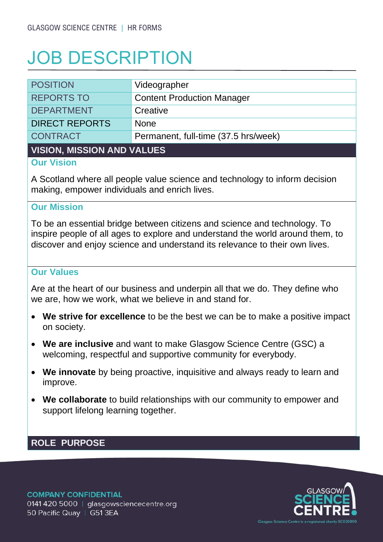# JOB DESCRIPTION

| <b>POSITION</b>       | Videographer                         |  |
|-----------------------|--------------------------------------|--|
| <b>REPORTS TO</b>     | <b>Content Production Manager</b>    |  |
| <b>DEPARTMENT</b>     | Creative                             |  |
| <b>DIRECT REPORTS</b> | <b>None</b>                          |  |
| <b>CONTRACT</b>       | Permanent, full-time (37.5 hrs/week) |  |
|                       |                                      |  |

#### **VISION, MISSION AND VALUES**

#### **Our Vision**

A Scotland where all people value science and technology to inform decision making, empower individuals and enrich lives.

#### **Our Mission**

To be an essential bridge between citizens and science and technology. To inspire people of all ages to explore and understand the world around them, to discover and enjoy science and understand its relevance to their own lives.

### **Our Values**

Are at the heart of our business and underpin all that we do. They define who we are, how we work, what we believe in and stand for.

- **We strive for excellence** to be the best we can be to make a positive impact on society.
- **We are inclusive** and want to make Glasgow Science Centre (GSC) a welcoming, respectful and supportive community for everybody.
- **We innovate** by being proactive, inquisitive and always ready to learn and improve.
- **We collaborate** to build relationships with our community to empower and support lifelong learning together.

## **ROLE PURPOSE**

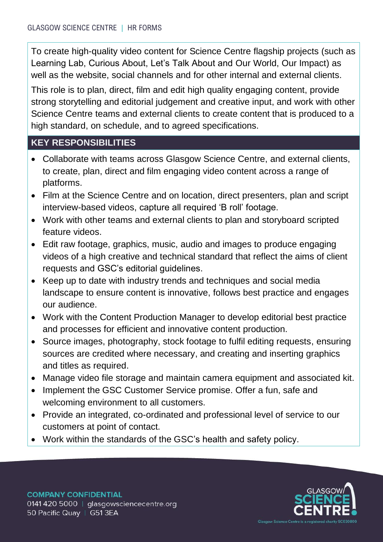To create high-quality video content for Science Centre flagship projects (such as Learning Lab, Curious About, Let's Talk About and Our World, Our Impact) as well as the website, social channels and for other internal and external clients.

This role is to plan, direct, film and edit high quality engaging content, provide strong storytelling and editorial judgement and creative input, and work with other Science Centre teams and external clients to create content that is produced to a high standard, on schedule, and to agreed specifications.

## **KEY RESPONSIBILITIES**

- Collaborate with teams across Glasgow Science Centre, and external clients, to create, plan, direct and film engaging video content across a range of platforms.
- Film at the Science Centre and on location, direct presenters, plan and script interview-based videos, capture all required 'B roll' footage.
- Work with other teams and external clients to plan and storyboard scripted feature videos.
- Edit raw footage, graphics, music, audio and images to produce engaging videos of a high creative and technical standard that reflect the aims of client requests and GSC's editorial guidelines.
- Keep up to date with industry trends and techniques and social media landscape to ensure content is innovative, follows best practice and engages our audience.
- Work with the Content Production Manager to develop editorial best practice and processes for efficient and innovative content production.
- Source images, photography, stock footage to fulfil editing requests, ensuring sources are credited where necessary, and creating and inserting graphics and titles as required.
- Manage video file storage and maintain camera equipment and associated kit.
- Implement the GSC Customer Service promise. Offer a fun, safe and welcoming environment to all customers.
- Provide an integrated, co-ordinated and professional level of service to our customers at point of contact.
- Work within the standards of the GSC's health and safety policy.

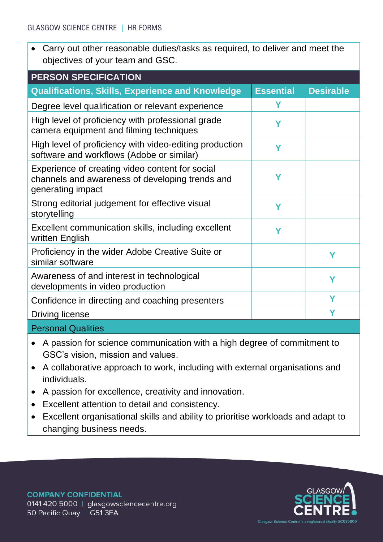• Carry out other reasonable duties/tasks as required, to deliver and meet the objectives of your team and GSC.

| <b>PERSON SPECIFICATION</b>                                                                                             |                  |                  |  |
|-------------------------------------------------------------------------------------------------------------------------|------------------|------------------|--|
| <b>Qualifications, Skills, Experience and Knowledge</b>                                                                 | <b>Essential</b> | <b>Desirable</b> |  |
| Degree level qualification or relevant experience                                                                       | Υ                |                  |  |
| High level of proficiency with professional grade<br>camera equipment and filming techniques                            | Υ                |                  |  |
| High level of proficiency with video-editing production<br>software and workflows (Adobe or similar)                    | Ϋ                |                  |  |
| Experience of creating video content for social<br>channels and awareness of developing trends and<br>generating impact | Υ                |                  |  |
| Strong editorial judgement for effective visual<br>storytelling                                                         | Υ                |                  |  |
| Excellent communication skills, including excellent<br>written English                                                  | Υ                |                  |  |
| Proficiency in the wider Adobe Creative Suite or<br>similar software                                                    |                  | Υ                |  |
| Awareness of and interest in technological<br>developments in video production                                          |                  | Υ                |  |
| Confidence in directing and coaching presenters                                                                         |                  | Υ                |  |
| <b>Driving license</b>                                                                                                  |                  | Υ                |  |
|                                                                                                                         |                  |                  |  |

Personal Qualities

- A passion for science communication with a high degree of commitment to GSC's vision, mission and values.
- A collaborative approach to work, including with external organisations and individuals.
- A passion for excellence, creativity and innovation.
- Excellent attention to detail and consistency.
- Excellent organisational skills and ability to prioritise workloads and adapt to changing business needs.